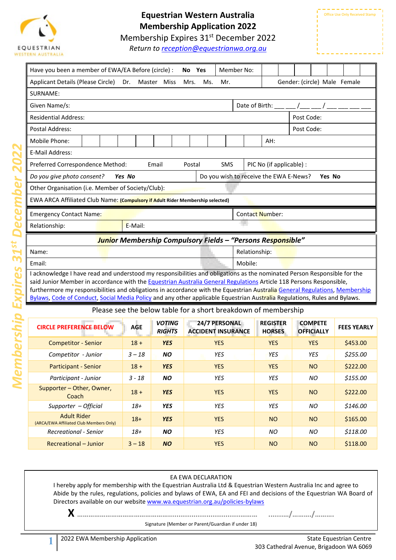

## **Equestrian Western Australia Membership Application 2022**

Membership Expires 31<sup>st</sup> December 2022

*Return to [reception@equestrianwa.org.au](mailto:reception@equestrianwa.org.au)*

| Member No:<br>Have you been a member of EWA/EA Before (circle) :<br>No Yes                                                                                                                                                                         |            |                                |                           |               |               |                                                                                                                                                                                                                                                                                                                    |                                     |                    |  |  |  |
|----------------------------------------------------------------------------------------------------------------------------------------------------------------------------------------------------------------------------------------------------|------------|--------------------------------|---------------------------|---------------|---------------|--------------------------------------------------------------------------------------------------------------------------------------------------------------------------------------------------------------------------------------------------------------------------------------------------------------------|-------------------------------------|--------------------|--|--|--|
| Applicant Details (Please Circle)                                                                                                                                                                                                                  | Dr.        | Master Miss                    | Mrs.<br>Ms.               | Mr.           |               |                                                                                                                                                                                                                                                                                                                    | Gender: (circle) Male Female        |                    |  |  |  |
| SURNAME:                                                                                                                                                                                                                                           |            |                                |                           |               |               |                                                                                                                                                                                                                                                                                                                    |                                     |                    |  |  |  |
| Given Name/s:                                                                                                                                                                                                                                      |            |                                |                           |               |               | Date of Birth: $\frac{1}{2}$ $\frac{1}{2}$ $\frac{1}{2}$ $\frac{1}{2}$ $\frac{1}{2}$ $\frac{1}{2}$ $\frac{1}{2}$ $\frac{1}{2}$ $\frac{1}{2}$ $\frac{1}{2}$ $\frac{1}{2}$ $\frac{1}{2}$ $\frac{1}{2}$ $\frac{1}{2}$ $\frac{1}{2}$ $\frac{1}{2}$ $\frac{1}{2}$ $\frac{1}{2}$ $\frac{1}{2}$ $\frac{1}{2}$ $\frac{1}{$ |                                     |                    |  |  |  |
| <b>Residential Address:</b>                                                                                                                                                                                                                        |            |                                |                           |               |               |                                                                                                                                                                                                                                                                                                                    | Post Code:                          |                    |  |  |  |
| Postal Address:                                                                                                                                                                                                                                    |            |                                |                           |               |               |                                                                                                                                                                                                                                                                                                                    | Post Code:                          |                    |  |  |  |
| Mobile Phone:                                                                                                                                                                                                                                      | AH:        |                                |                           |               |               |                                                                                                                                                                                                                                                                                                                    |                                     |                    |  |  |  |
| E-Mail Address:                                                                                                                                                                                                                                    |            |                                |                           |               |               |                                                                                                                                                                                                                                                                                                                    |                                     |                    |  |  |  |
| Preferred Correspondence Method:                                                                                                                                                                                                                   |            | Email                          | Postal                    | <b>SMS</b>    |               | PIC No (if applicable) :                                                                                                                                                                                                                                                                                           |                                     |                    |  |  |  |
| Do you give photo consent?                                                                                                                                                                                                                         | Yes No     |                                |                           |               |               | Do you wish to receive the EWA E-News?                                                                                                                                                                                                                                                                             | Yes No                              |                    |  |  |  |
| Other Organisation (i.e. Member of Society/Club):                                                                                                                                                                                                  |            |                                |                           |               |               |                                                                                                                                                                                                                                                                                                                    |                                     |                    |  |  |  |
| EWA ARCA Affiliated Club Name: (Compulsory if Adult Rider Membership selected)                                                                                                                                                                     |            |                                |                           |               |               |                                                                                                                                                                                                                                                                                                                    |                                     |                    |  |  |  |
| Emergency Contact Name:                                                                                                                                                                                                                            |            |                                |                           |               |               | Contact Number:                                                                                                                                                                                                                                                                                                    |                                     |                    |  |  |  |
| Relationship:                                                                                                                                                                                                                                      | E-Mail:    |                                |                           |               |               |                                                                                                                                                                                                                                                                                                                    |                                     |                    |  |  |  |
| <mark>Junio</mark> r Membership Compulsory Fields – "Persons Responsible"                                                                                                                                                                          |            |                                |                           |               |               |                                                                                                                                                                                                                                                                                                                    |                                     |                    |  |  |  |
| Name:                                                                                                                                                                                                                                              |            |                                |                           |               | Relationship: |                                                                                                                                                                                                                                                                                                                    |                                     |                    |  |  |  |
| Email:                                                                                                                                                                                                                                             |            |                                |                           |               | Mobile:       |                                                                                                                                                                                                                                                                                                                    |                                     |                    |  |  |  |
| I acknowledge I have read and understood my responsibilities and obligations as the nominated Person Responsible for the                                                                                                                           |            |                                |                           |               |               |                                                                                                                                                                                                                                                                                                                    |                                     |                    |  |  |  |
| said Junior Member in accordance with the Equestrian Australia General Regulations Article 118 Persons Responsible,<br>furthermore my responsibilities and obligations in accordance with the Equestrian Australia General Regulations, Membership |            |                                |                           |               |               |                                                                                                                                                                                                                                                                                                                    |                                     |                    |  |  |  |
| Bylaws, Code of Conduct, Social Media Policy and any other applicable Equestrian Australia Regulations, Rules and Bylaws.                                                                                                                          |            |                                |                           |               |               |                                                                                                                                                                                                                                                                                                                    |                                     |                    |  |  |  |
|                                                                                                                                                                                                                                                    |            |                                |                           |               |               | Please see the below table for a short breakdown of membership                                                                                                                                                                                                                                                     |                                     |                    |  |  |  |
| <b>CIRCLE PREFERENCE BELOW</b>                                                                                                                                                                                                                     | <b>AGE</b> | <b>VOTING</b><br><b>RIGHTS</b> | <b>ACCIDENT INSURANCE</b> | 24/7 PERSONAL |               | <b>REGISTER</b><br><b>HORSES</b>                                                                                                                                                                                                                                                                                   | <b>COMPETE</b><br><b>OFFICIALLY</b> | <b>FEES YEARLY</b> |  |  |  |
| <b>Competitor - Senior</b>                                                                                                                                                                                                                         | $18 +$     | <b>YES</b>                     |                           | <b>YES</b>    |               | <b>YES</b>                                                                                                                                                                                                                                                                                                         | <b>YES</b>                          | \$453.00           |  |  |  |
| Competitor - Junior                                                                                                                                                                                                                                | $3 - 18$   | <b>NO</b>                      |                           | <b>YES</b>    |               | <b>YES</b>                                                                                                                                                                                                                                                                                                         | <b>YES</b>                          | \$255.00           |  |  |  |
| <b>Participant - Senior</b>                                                                                                                                                                                                                        | $18 +$     | <b>YES</b>                     |                           | <b>YES</b>    |               | <b>YES</b>                                                                                                                                                                                                                                                                                                         | <b>NO</b>                           | \$222.00           |  |  |  |
| Participant - Junior                                                                                                                                                                                                                               | $3 - 18$   | <b>NO</b>                      |                           | <b>YES</b>    |               | YES                                                                                                                                                                                                                                                                                                                | NO                                  | \$155.00           |  |  |  |
| Supporter - Other, Owner,<br>Coach                                                                                                                                                                                                                 | $18 +$     | <b>YES</b>                     |                           | <b>YES</b>    |               | <b>YES</b>                                                                                                                                                                                                                                                                                                         | <b>NO</b>                           | \$222.00           |  |  |  |
| Supporter - Official                                                                                                                                                                                                                               | $18+$      | YES                            |                           | <b>YES</b>    |               | YES                                                                                                                                                                                                                                                                                                                | NO                                  | \$146.00           |  |  |  |
| <b>Adult Rider</b><br>(ARCA/EWA Affiliated Club Members Only)                                                                                                                                                                                      | $18+$      | <b>YES</b>                     |                           | <b>YES</b>    |               | <b>NO</b>                                                                                                                                                                                                                                                                                                          | <b>NO</b>                           | \$165.00           |  |  |  |
| Recreational - Senior                                                                                                                                                                                                                              | $18+$      | <b>NO</b>                      |                           | YES           |               | ΝO                                                                                                                                                                                                                                                                                                                 | ΝO                                  | \$118.00           |  |  |  |
| Recreational - Junior                                                                                                                                                                                                                              | $3 - 18$   | <b>NO</b>                      |                           | <b>YES</b>    |               | <b>NO</b>                                                                                                                                                                                                                                                                                                          | <b>NO</b>                           | \$118.00           |  |  |  |

#### EA EWA DECLARATION

I hereby apply for membership with the Equestrian Australia Ltd & Equestrian Western Australia Inc and agree to Abide by the rules, regulations, policies and bylaws of EWA, EA and FEI and decisions of the Equestrian WA Board of Directors available on our websit[e www.wa.equestrian.org.au/policies-bylaws](http://www.wa.equestrian.org.au/policies-bylaws)

Signature (Member or Parent/Guardian if under 18)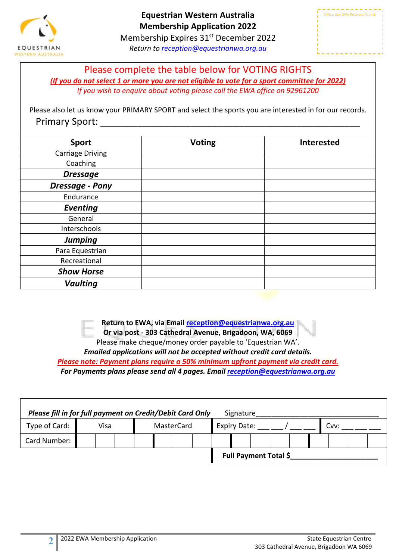

Membership Expires 31<sup>st</sup> December 2022 *Return to [reception@equestrianwa.org.au](mailto:reception@equestrianwa.org.au)*



Please complete the table below for VOTING RIGHTS *(If you do not select 1 or more you are not eligible to vote for a sport committee for 2022) If you wish to enquire about voting please call the EWA office on 92961200*

Please also let us know your PRIMARY SPORT and select the sports you are interested in for our records. Primary Sport: \_\_\_\_\_\_\_\_\_\_\_\_\_\_\_\_\_\_\_\_\_\_\_\_\_\_\_\_\_\_\_\_\_\_\_\_\_\_\_\_\_\_\_\_\_\_\_\_\_

| <b>Sport</b>            | <b>Voting</b> | <b>Interested</b> |
|-------------------------|---------------|-------------------|
| <b>Carriage Driving</b> |               |                   |
| Coaching                |               |                   |
| <b>Dressage</b>         |               |                   |
| <b>Dressage - Pony</b>  |               |                   |
| Endurance               |               |                   |
| <b>Eventing</b>         |               |                   |
| General                 |               |                   |
| Interschools            |               |                   |
| <b>Jumping</b>          |               |                   |
| Para Equestrian         |               |                   |
| Recreational            |               |                   |
| <b>Show Horse</b>       |               |                   |
| <b>Vaulting</b>         |               |                   |

**Return to EWA, via Email [reception@equestrianwa.org.au](mailto:reception@equestrianwa.org.au)**

**Or via post - 303 Cathedral Avenue, Brigadoon, WA, 6069**

Please make cheque/money order payable to 'Equestrian WA'.

*Emailed applications will not be accepted without credit card details.* 

*Please note: Payment plans require a 50% minimum upfront payment via credit card. For Payments plans please send all 4 pages. Email [reception@equestrianwa.org.au](mailto:reception@equestrianwa.org.au)*

| Please fill in for full payment on Credit/Debit Card Only<br>Signature |  |      |  |            |  |  |                     |  |  |                              |  |  |  |  |  |
|------------------------------------------------------------------------|--|------|--|------------|--|--|---------------------|--|--|------------------------------|--|--|--|--|--|
| Type of Card:                                                          |  | Visa |  | MasterCard |  |  | <b>Expiry Date:</b> |  |  | Cvv:                         |  |  |  |  |  |
| Card Number:                                                           |  |      |  |            |  |  |                     |  |  |                              |  |  |  |  |  |
|                                                                        |  |      |  |            |  |  |                     |  |  | <b>Full Payment Total \$</b> |  |  |  |  |  |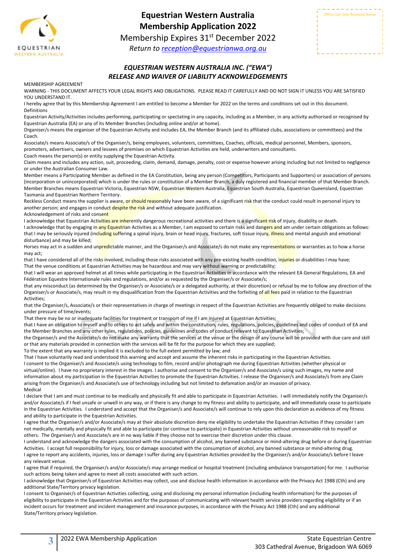

## **Equestrian Western Australia Membership Application 2022**

Membership Expires 31<sup>st</sup> December 2022

*Return to [reception@equestrianwa.org.au](mailto:reception@equestrianwa.org.au)*

| <b>Office Use Only Received Stamp</b> |
|---------------------------------------|
|                                       |
|                                       |
|                                       |

### *EQUESTRIAN WESTERN AUSTRALIA INC. ("EWA") RELEASE AND WAIVER OF LIABILITY ACKNOWLEDGEMENTS*

MEMBERSHIP AGREEMENT

WARNING - THIS DOCUMENT AFFECTS YOUR LEGAL RIGHTS AND OBLIGATIONS. PLEASE READ IT CAREFULLY AND DO NOT SIGN IT UNLESS YOU ARE SATISFIED YOU UNDERSTAND IT.

I hereby agree that by this Membership Agreement I am entitled to become a Member for 2022 on the terms and conditions set out in this document. Definitions

Equestrian Activity/Activities includes performing, participating or spectating in any capacity, including as a Member, in any activity authorised or recognised by Equestrian Australia (EA) or any of its Member Branches (including online and/or at home).

Organiser/s means the organiser of the Equestrian Activity and includes EA, the Member Branch (and its affiliated clubs, associations or committees) and the Coach.

Associate/s means Associate/s of the Organiser/s, being employees, volunteers, committees, Coaches, officials, medical personnel, Members, sponsors, promoters, advertisers, owners and lessees of premises on which Equestrian Activities are held, underwriters and consultants.

Coach means the person(s) or entity supplying the Equestrian Activity.

Claim means and includes any action, suit, proceeding, claim, demand, damage, penalty, cost or expense however arising including but not limited to negligence or under the Australian Consumer Law.

Member means a Participating Member as defined in the EA Constitution, being any person (Competitors, Participants and Supporters) or association of persons (incorporation or unincorporated) which is under the rules or constitution of a Member Branch, a duly registered and financial member of that Member Branch. Member Branches means Equestrian Victoria, Equestrian NSW, Equestrian Western Australia, Equestrian South Australia, Equestrian Queensland, Equestrian Tasmania and Equestrian Northern Territory.

Reckless Conduct means the supplier is aware, or should reasonably have been aware, of a significant risk that the conduct could result in personal injury to another person; and engages in conduct despite the risk and without adequate justification.

Acknowledgement of risks and consent

I acknowledge that Equestrian Activities are inherently dangerous recreational activities and there is a significant risk of injury, disability or death. I acknowledge that by engaging in any Equestrian Activities as a Member, I am exposed to certain risks and dangers and am under certain obligations as follows: that I may be seriously injured (including suffering a spinal injury, brain or head injury, fractures, soft tissue injury, illness and mental anguish and emotional disturbance) and may be killed;

Horses may act in a sudden and unpredictable manner, and the Organiser/s and Associate/s do not make any representations or warranties as to how a horse may act;

that I have considered all of the risks involved, including those risks associated with any pre-existing health condition, injuries or disabilities I may have; That the venue conditions at Equestrian Activities may be hazardous and may vary without warning or predictability;

that I will wear an approved helmet at all times while participating in the Equestrian Activities in accordance with the relevant EA General Regulations, EA and Fédération Equestre Internationale rules and regulations, and/or as requested by the Organiser/s or Associate/s;

that any misconduct (as determined by the Organiser/s or Associate/s or a delegated authority, at their discretion) or refusal by me to follow any direction of the Organiser/s or Associate/s, may result in my disqualification from the Equestrian Activities and the forfeiting of all fees paid in relation to the Equestrian Activities;

that the Organiser/s, Associate/s or their representatives in charge of meetings in respect of the Equestrian Activities are frequently obliged to make decisions under pressure of time/events;

That there may be no or inadequate facilities for treatment or transport of me if I am injured at Equestrian Activities;

that I have an obligation to myself and to others to act safely and within the constitution, rules, regulations, policies, guidelines and codes of conduct of EA and the Member Branches and any other rules, regulations, policies, guidelines and codes of conduct relevant to Equestrian Activities;

the Organiser/s and the Associate/s do not make any warranty that the services at the venue or the design of any course will be provided with due care and skill or that any materials provided in connection with the services will be fit for the purpose for which they are supplied;

To the extent that any warranty is implied it is excluded to the full extent permitted by law; and

That I have voluntarily read and understood this warning and accept and assume the inherent risks in participating in the Equestrian Activities.

I consent to the Organiser/s and Associate/s using technology to film, record and/or photograph me during Equestrian Activities (whether physical or virtual/online). I have no proprietary interest in the images. I authorise and consent to the Organiser/s and Associate/s using such images, my name and information about my participation in the Equestrian Activities to promote the Equestrian Activities. I release the Organiser/s and Associate/s from any Claim arising from the Organiser/s and Associate/s use of technology including but not limited to defamation and/or an invasion of privacy. Medical

I declare that I am and must continue to be medically and physically fit and able to participate in Equestrian Activities. I will immediately notify the Organiser/s and/or Associate/s if I feel unsafe or unwell in any way, or if there is any change to my fitness and ability to participate, and will immediately cease to participate in the Equestrian Activities. I understand and accept that the Organiser/s and Associate/s will continue to rely upon this declaration as evidence of my fitness and ability to participate in the Equestrian Activities.

I agree that the Organiser/s and/or Associate/s may at their absolute discretion deny me eligibility to undertake the Equestrian Activities if they consider I am not medically, mentally and physically fit and able to participate (or continue to participate) in Equestrian Activities without unreasonable risk to myself or others. The Organiser/s and Associate/s are in no way liable if they choose not to exercise their discretion under this clause.

I understand and acknowledge the dangers associated with the consumption of alcohol, any banned substance or mind-altering drug before or during Equestrian Activities. I accept full responsibility for injury, loss or damage associated with the consumption of alcohol, any banned substance or mind-altering drug. I agree to report any accidents, injuries, loss or damage I suffer during any Equestrian Activities provided by the Organiser/s and/or Associate/s before I leave any relevant venue.

I agree that if required, the Organiser/s and/or Associate/s may arrange medical or hospital treatment (including ambulance transportation) for me. I authorise such actions being taken and agree to meet all costs associated with such action.

I acknowledge that Organiser/s of Equestrian Activities may collect, use and disclose health information in accordance with the Privacy Act 1988 (Cth) and any additional State/Territory privacy legislation.

I consent to Organiser/s of Equestrian Activities collecting, using and disclosing my personal information (including health information) for the purposes of eligibility to participate in the Equestrian Activities and for the purposes of communicating with relevant health service providers regarding eligibility or if an incident occurs for treatment and incident management and insurance purposes, in accordance with the Privacy Act 1988 (Cth) and any additional State/Territory privacy legislation.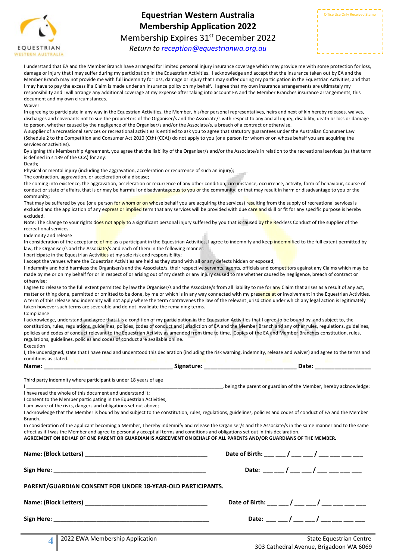

# **Equestrian Western Australia Membership Application 2022** Membership Expires 31<sup>st</sup> December 2022

*Return to [reception@equestrianwa.org.au](mailto:reception@equestrianwa.org.au)*

I understand that EA and the Member Branch have arranged for limited personal injury insurance coverage which may provide me with some protection for loss, damage or injury that I may suffer during my participation in the Equestrian Activities. I acknowledge and accept that the insurance taken out by EA and the Member Branch may not provide me with full indemnity for loss, damage or injury that I may suffer during my participation in the Equestrian Activities, and that I may have to pay the excess if a Claim is made under an insurance policy on my behalf. I agree that my own insurance arrangements are ultimately my responsibility and I will arrange any additional coverage at my expense after taking into account EA and the Member Branches insurance arrangements, this document and my own circumstances.

Waiver

In agreeing to participate in any way in the Equestrian Activities, the Member, his/her personal representatives, heirs and next of kin hereby releases, waives, discharges and covenants not to sue the proprietors of the Organiser/s and the Associate/s with respect to any and all injury, disability, death or loss or damage to person, whether caused by the negligence of the Organiser/s and/or the Associate/s, a breach of a contract or otherwise.

A supplier of a recreational services or recreational activities is entitled to ask you to agree that statutory guarantees under the Australian Consumer Law (Schedule 2 to the Competition and Consumer Act 2010 (Cth) (CCA)) do not apply to you (or a person for whom or on whose behalf you are acquiring the services or activities).

By signing this Membership Agreement, you agree that the liability of the Organiser/s and/or the Associate/s in relation to the recreational services (as that term is defined in s.139 of the CCA) for any:

Death;

Physical or mental injury (including the aggravation, acceleration or recurrence of such an injury);

The contraction, aggravation, or acceleration of a disease;

the coming into existence, the aggravation, acceleration or recurrence of any other condition, circumstance, occurrence, activity, form of behaviour, course of conduct or state of affairs, that is or may be harmful or disadvantageous to you or the community; or that may result in harm or disadvantage to you or the community;

That may be suffered by you (or a person for whom or on whose behalf you are acquiring the services) resulting from the supply of recreational services is excluded and the application of any express or implied term that any services will be provided with due care and skill or fit for any specific purpose is hereby excluded.

Note: The change to your rights does not apply to a significant personal injury suffered by you that is caused by the Reckless Conduct of the supplier of the recreational services.

Indemnity and release

In consideration of the acceptance of me as a participant in the Equestrian Activities, I agree to indemnify and keep indemnified to the full extent permitted by law, the Organiser/s and the Associate/s and each of them in the following manner:

I participate in the Equestrian Activities at my sole risk and responsibility;

I accept the venues where the Equestrian Activities are held as they stand with all or any defects hidden or exposed;

I indemnify and hold harmless the Organiser/s and the Associate/s, their respective servants, agents, officials and competitors against any Claims which may be made by me or on my behalf for or in respect of or arising out of my death or any injury caused to me whether caused by negligence, breach of contract or otherwise;

I agree to release to the full extent permitted by law the Organiser/s and the Associate/s from all liability to me for any Claim that arises as a result of any act, matter or thing done, permitted or omitted to be done, by me or which is in any way connected with my presence at or involvement in the Equestrian Activities. A term of this release and indemnity will not apply where the term contravenes the law of the relevant jurisdiction under which any legal action is legitimately taken however such terms are severable and do not invalidate the remaining terms. Compliance

I acknowledge, understand and agree that it is a condition of my participation in the Equestrian Activities that I agree to be bound by, and subject to, the constitution, rules, regulations, guidelines, policies, codes of conduct and jurisdiction of EA and the Member Branch and any other rules, regulations, guidelines, policies and codes of conduct relevant to the Equestrian Activity as amended from time to time. Copies of the EA and Member Branches constitution, rules, regulations, guidelines, policies and codes of conduct are available online.

I, the undersigned, state that I have read and understood this declaration (including the risk warning, indemnity, release and waiver) and agree to the terms and conditions as stated.

| Name: | signature: | Date <sup>.</sup> |  |
|-------|------------|-------------------|--|
|       |            |                   |  |

Third party indemnity where participant is under 18 years of age

being the parent or guardian of the Member, hereby acknowledge: I have read the whole of this document and understand it;

I consent to the Member participating in the Equestrian Activities;

I am aware of the risks, dangers and obligations set out above;

I acknowledge that the Member is bound by and subject to the constitution, rules, regulations, guidelines, policies and codes of conduct of EA and the Member Branch.

In consideration of the applicant becoming a Member, I hereby indemnify and release the Organiser/s and the Associate/s in the same manner and to the same effect as if I was the Member and agree to personally accept all terms and conditions and obligations set out in this declaration. **AGREEMENT ON BEHALF OF ONE PARENT OR GUARDIAN IS AGREEMENT ON BEHALF OF ALL PARENTS AND/OR GUARDIANS OF THE MEMBER.** 

|                                                             | Date: __ __ / __ __ / ___ __ / ___ ___          |                                          |  |
|-------------------------------------------------------------|-------------------------------------------------|------------------------------------------|--|
| PARENT/GUARDIAN CONSENT FOR UNDER 18-YEAR-OLD PARTICIPANTS. |                                                 |                                          |  |
|                                                             | Date of Birth: __ __ / __ __ / __ __ / __ __ __ |                                          |  |
|                                                             |                                                 | Date: __ __ / __ __ / __ __ __ / ___ ___ |  |
|                                                             |                                                 |                                          |  |